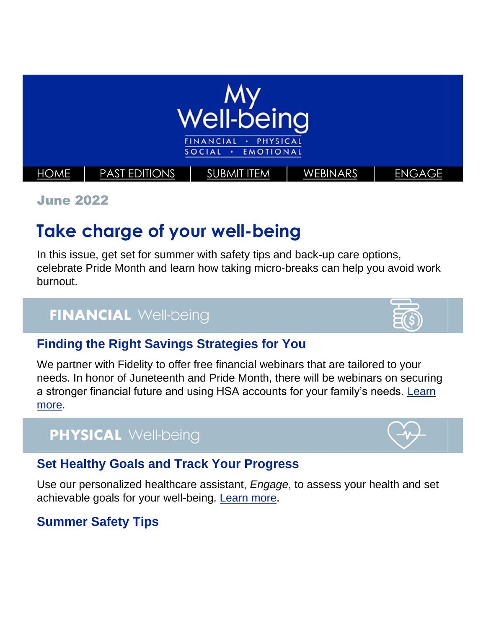

June 2022

# **Take charge of your well-being**

In this issue, get set for summer with safety tips and back-up care options, celebrate Pride Month and learn how taking micro-breaks can help you avoid work burnout.

## **FINANCIAL Well-being**

### **Finding the Right Savings Strategies for You**

We partner with Fidelity to offer free financial webinars that are tailored to your needs. In honor of Juneteenth and Pride Month, there will be webinars on securing a stronger financial future and using HSA accounts for your family's needs. [Learn](https://totalrewards.northropgrumman.com/article/136/financial-webinars-in-june-including-special-events-for-junetee)  [more.](https://totalrewards.northropgrumman.com/article/136/financial-webinars-in-june-including-special-events-for-junetee)

## **PHYSICAL Well-being**

### **Set Healthy Goals and Track Your Progress**

Use our personalized healthcare assistant, *Engage*, to assess your health and set achievable goals for your well-being. [Learn more.](https://totalrewards.northropgrumman.com/article/139/goal-setting-for-your-health)

## **Summer Safety Tips**



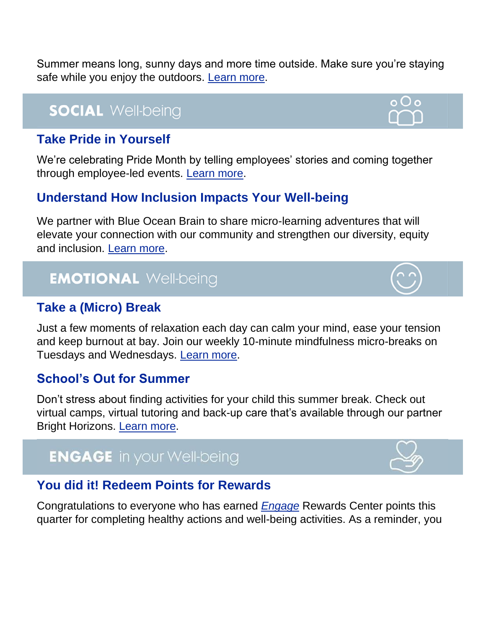Summer means long, sunny days and more time outside. Make sure you're staying safe while you enjoy the outdoors. [Learn more.](https://totalrewards.northropgrumman.com/article/135/keep-your-summer-safe)

## **SOCIAL Well-being**

### **Take Pride in Yourself**

We're celebrating Pride Month by telling employees' stories and coming together through employee-led events. [Learn more.](https://totalrewards.northropgrumman.com/article/134/happy-pride-month)

### **Understand How Inclusion Impacts Your Well-being**

We partner with Blue Ocean Brain to share micro-learning adventures that will elevate your connection with our community and strengthen our diversity, equity and inclusion. [Learn more.](https://www3.blueoceanbrain.com/g/northropgrumman/1c40a9e3/member/home)

## **EMOTIONAL Well-being**

### **Take a (Micro) Break**

Just a few moments of relaxation each day can calm your mind, ease your tension and keep burnout at bay. Join our weekly 10-minute mindfulness micro-breaks on Tuesdays and Wednesdays. [Learn more.](https://totalrewards.northropgrumman.com/article/137/heal-your-mind-from-anxiety-and-stress)

### **School's Out for Summer**

Don't stress about finding activities for your child this summer break. Check out virtual camps, virtual tutoring and back-up care that's available through our partner Bright Horizons. [Learn more.](https://totalrewards.northropgrumman.com/article/133/schools-out-for-summer)

## **ENGAGE** in your Well-being

### **You did it! Redeem Points for Rewards**

Congratulations to everyone who has earned *[Engage](https://app.engage-wellbeing.com/v2/registration/e/northrop_grumman)* Rewards Center points this quarter for completing healthy actions and well-being activities. As a reminder, you





o O o